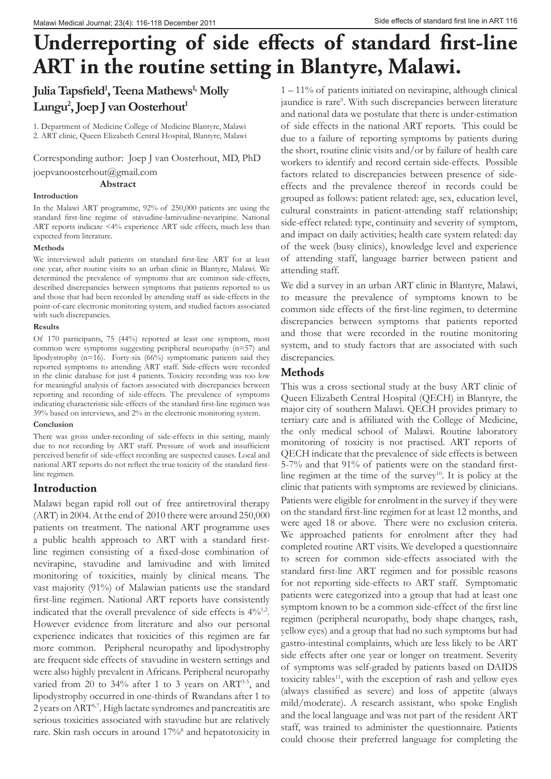# **Underreporting of side effects of standard first-line ART in the routine setting in Blantyre, Malawi.**

## **Julia Tapsfield<sup>1</sup> , Teena Mathews1, Molly**   $\text{Lungu}^2$ , Joep J van Oosterhout<sup>1</sup>

1. Department of Medicine College of Medicine Blantyre, Malawi 2. ART clinic, Queen Elizabeth Central Hospital, Blantyre, Malawi

Corresponding author: Joep J van Oosterhout, MD, PhD

joepvanoosterhout@gmail.com

 **Abstract**

#### **Introduction**

In the Malawi ART programme, 92% of 250,000 patients are using the standard first-line regime of stavudine-lamivudine-nevaripine. National ART reports indicate <4% experience ART side effects, much less than expected from literature.

#### **Methods**

We interviewed adult patients on standard first-line ART for at least one year, after routine visits to an urban clinic in Blantyre, Malawi. We determined the prevalence of symptoms that are common side-effects, described discrepancies between symptoms that patients reported to us and those that had been recorded by attending staff as side-effects in the point-of-care electronic monitoring system, and studied factors associated with such discrepancies.

#### **Results**

Of 170 participants, 75 (44%) reported at least one symptom, most common were symptoms suggesting peripheral neuropathy (n=57) and lipodystrophy (n=16). Forty-six (66%) symptomatic patients said they reported symptoms to attending ART staff. Side-effects were recorded in the clinic database for just 4 patients. Toxicity recording was too low for meaningful analysis of factors associated with discrepancies between reporting and recording of side-effects. The prevalence of symptoms indicating characteristic side-effects of the standard first-line regimen was 39% based on interviews, and 2% in the electronic monitoring system.

#### **Conclusion**

There was gross under-recording of side-effects in this setting, mainly due to not recording by ART staff. Pressure of work and insufficient perceived benefit of side-effect recording are suspected causes. Local and national ART reports do not reflect the true toxicity of the standard firstline regimen.

## **Introduction**

Malawi began rapid roll out of free antiretroviral therapy (ART) in 2004. At the end of 2010 there were around 250,000 patients on treatment. The national ART programme uses a public health approach to ART with a standard firstline regimen consisting of a fixed-dose combination of nevirapine, stavudine and lamivudine and with limited monitoring of toxicities, mainly by clinical means. The vast majority (91%) of Malawian patients use the standard first-line regimen. National ART reports have consistently indicated that the overall prevalence of side effects is  $4\%/1.2$ . However evidence from literature and also our personal experience indicates that toxicities of this regimen are far more common. Peripheral neuropathy and lipodystrophy are frequent side effects of stavudine in western settings and were also highly prevalent in Africans. Peripheral neuropathy varied from 20 to 34% after 1 to 3 years on ART<sup>3-5</sup>, and lipodystrophy occurred in one-thirds of Rwandans after 1 to 2 years on ART6,7. High lactate syndromes and pancreatitis are serious toxicities associated with stavudine but are relatively rare. Skin rash occurs in around 17%<sup>8</sup> and hepatotoxicity in 1 – 11% of patients initiated on nevirapine, although clinical jaundice is rare<sup>9</sup>. With such discrepancies between literature and national data we postulate that there is under-estimation of side effects in the national ART reports. This could be due to a failure of reporting symptoms by patients during the short, routine clinic visits and/or by failure of health care workers to identify and record certain side-effects. Possible factors related to discrepancies between presence of sideeffects and the prevalence thereof in records could be grouped as follows: patient related: age, sex, education level, cultural constraints in patient-attending staff relationship; side-effect related: type, continuity and severity of symptom, and impact on daily activities; health care system related: day of the week (busy clinics), knowledge level and experience of attending staff, language barrier between patient and attending staff.

We did a survey in an urban ART clinic in Blantyre, Malawi, to measure the prevalence of symptoms known to be common side effects of the first-line regimen, to determine discrepancies between symptoms that patients reported and those that were recorded in the routine monitoring system, and to study factors that are associated with such discrepancies.

## **Methods**

This was a cross sectional study at the busy ART clinic of Queen Elizabeth Central Hospital (QECH) in Blantyre, the major city of southern Malawi. QECH provides primary to tertiary care and is affiliated with the College of Medicine, the only medical school of Malawi. Routine laboratory monitoring of toxicity is not practised. ART reports of QECH indicate that the prevalence of side effects is between 5-7% and that 91% of patients were on the standard firstline regimen at the time of the survey<sup>10</sup>. It is policy at the clinic that patients with symptoms are reviewed by clinicians. Patients were eligible for enrolment in the survey if they were on the standard first-line regimen for at least 12 months, and were aged 18 or above. There were no exclusion criteria. We approached patients for enrolment after they had completed routine ART visits. We developed a questionnaire to screen for common side-effects associated with the standard first-line ART regimen and for possible reasons for not reporting side-effects to ART staff. Symptomatic patients were categorized into a group that had at least one symptom known to be a common side-effect of the first line regimen (peripheral neuropathy, body shape changes, rash, yellow eyes) and a group that had no such symptoms but had gastro-intestinal complaints, which are less likely to be ART side effects after one year or longer on treatment. Severity of symptoms was self-graded by patients based on DAIDS toxicity tables<sup>11</sup>, with the exception of rash and yellow eyes (always classified as severe) and loss of appetite (always mild/moderate). A research assistant, who spoke English and the local language and was not part of the resident ART staff, was trained to administer the questionnaire. Patients could choose their preferred language for completing the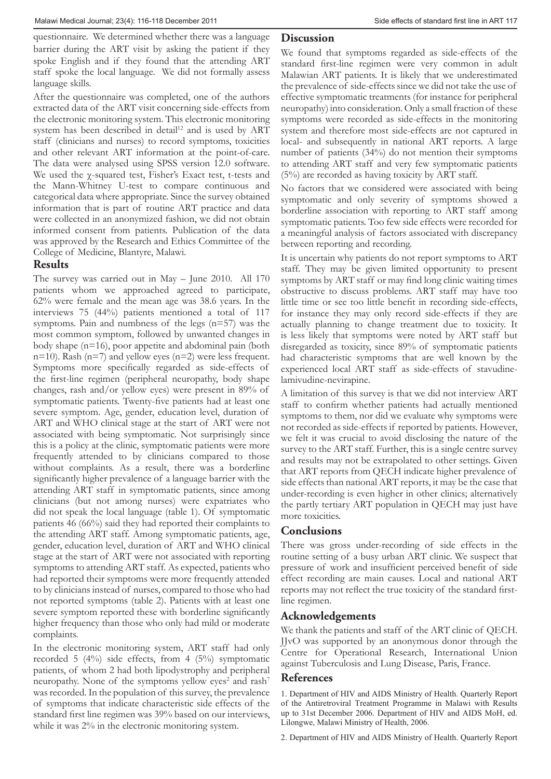questionnaire. We determined whether there was a language barrier during the ART visit by asking the patient if they spoke English and if they found that the attending ART staff spoke the local language. We did not formally assess language skills.

After the questionnaire was completed, one of the authors extracted data of the ART visit concerning side-effects from the electronic monitoring system. This electronic monitoring system has been described in detail<sup>12</sup> and is used by ART staff (clinicians and nurses) to record symptoms, toxicities and other relevant ART information at the point-of-care. The data were analysed using SPSS version 12.0 software. We used the χ-squared test, Fisher's Exact test, t-tests and the Mann-Whitney U-test to compare continuous and categorical data where appropriate. Since the survey obtained information that is part of routine ART practice and data were collected in an anonymized fashion, we did not obtain informed consent from patients. Publication of the data was approved by the Research and Ethics Committee of the College of Medicine, Blantyre, Malawi.

## **Results**

The survey was carried out in May – June 2010. All 170 patients whom we approached agreed to participate, 62% were female and the mean age was 38.6 years. In the interviews 75 (44%) patients mentioned a total of 117 symptoms. Pain and numbness of the legs (n=57) was the most common symptom, followed by unwanted changes in body shape (n=16), poor appetite and abdominal pain (both n=10). Rash (n=7) and yellow eyes (n=2) were less frequent. Symptoms more specifically regarded as side-effects of the first-line regimen (peripheral neuropathy, body shape changes, rash and/or yellow eyes) were present in 89% of symptomatic patients. Twenty-five patients had at least one severe symptom. Age, gender, education level, duration of ART and WHO clinical stage at the start of ART were not associated with being symptomatic. Not surprisingly since this is a policy at the clinic, symptomatic patients were more frequently attended to by clinicians compared to those without complaints. As a result, there was a borderline significantly higher prevalence of a language barrier with the attending ART staff in symptomatic patients, since among clinicians (but not among nurses) were expatriates who did not speak the local language (table 1). Of symptomatic patients 46 (66%) said they had reported their complaints to the attending ART staff. Among symptomatic patients, age, gender, education level, duration of ART and WHO clinical stage at the start of ART were not associated with reporting symptoms to attending ART staff. As expected, patients who had reported their symptoms were more frequently attended to by clinicians instead of nurses, compared to those who had not reported symptoms (table 2). Patients with at least one severe symptom reported these with borderline significantly higher frequency than those who only had mild or moderate complaints.

In the electronic monitoring system, ART staff had only recorded 5 (4%) side effects, from 4 (5%) symptomatic patients, of whom 2 had both lipodystrophy and peripheral neuropathy. None of the symptoms yellow eyes<sup>2</sup> and rash<sup>7</sup> was recorded. In the population of this survey, the prevalence of symptoms that indicate characteristic side effects of the standard first line regimen was 39% based on our interviews, while it was 2% in the electronic monitoring system.

#### **Discussion**

We found that symptoms regarded as side-effects of the standard first-line regimen were very common in adult Malawian ART patients. It is likely that we underestimated the prevalence of side-effects since we did not take the use of effective symptomatic treatments (for instance for peripheral neuropathy) into consideration. Only a small fraction of these symptoms were recorded as side-effects in the monitoring system and therefore most side-effects are not captured in local- and subsequently in national ART reports. A large number of patients (34%) do not mention their symptoms to attending ART staff and very few symptomatic patients (5%) are recorded as having toxicity by ART staff.

No factors that we considered were associated with being symptomatic and only severity of symptoms showed a borderline association with reporting to ART staff among symptomatic patients. Too few side effects were recorded for a meaningful analysis of factors associated with discrepancy between reporting and recording.

It is uncertain why patients do not report symptoms to ART staff. They may be given limited opportunity to present symptoms by ART staff or may find long clinic waiting times obstructive to discuss problems. ART staff may have too little time or see too little benefit in recording side-effects, for instance they may only record side-effects if they are actually planning to change treatment due to toxicity. It is less likely that symptoms were noted by ART staff but disregarded as toxicity, since 89% of symptomatic patients had characteristic symptoms that are well known by the experienced local ART staff as side-effects of stavudinelamivudine-nevirapine.

A limitation of this survey is that we did not interview ART staff to confirm whether patients had actually mentioned symptoms to them, nor did we evaluate why symptoms were not recorded as side-effects if reported by patients. However, we felt it was crucial to avoid disclosing the nature of the survey to the ART staff. Further, this is a single centre survey and results may not be extrapolated to other settings. Given that ART reports from QECH indicate higher prevalence of side effects than national ART reports, it may be the case that under-recording is even higher in other clinics; alternatively the partly tertiary ART population in QECH may just have more toxicities.

## **Conclusions**

There was gross under-recording of side effects in the routine setting of a busy urban ART clinic. We suspect that pressure of work and insufficient perceived benefit of side effect recording are main causes. Local and national ART reports may not reflect the true toxicity of the standard firstline regimen.

## **Acknowledgements**

We thank the patients and staff of the ART clinic of QECH. JJvO was supported by an anonymous donor through the Centre for Operational Research, International Union against Tuberculosis and Lung Disease, Paris, France.

#### **References**

1. Department of HIV and AIDS Ministry of Health. Quarterly Report of the Antiretroviral Treatment Programme in Malawi with Results up to 31st December 2006. Department of HIV and AIDS MoH, ed. Lilongwe, Malawi Ministry of Health, 2006.

2. Department of HIV and AIDS Ministry of Health. Quarterly Report